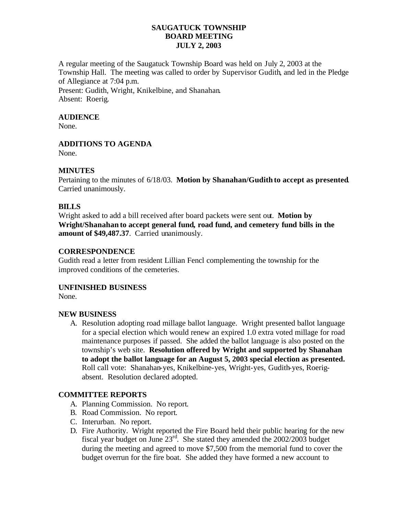# **SAUGATUCK TOWNSHIP BOARD MEETING JULY 2, 2003**

A regular meeting of the Saugatuck Township Board was held on July 2, 2003 at the Township Hall. The meeting was called to order by Supervisor Gudith, and led in the Pledge of Allegiance at 7:04 p.m.

Present: Gudith, Wright, Knikelbine, and Shanahan. Absent: Roerig.

#### **AUDIENCE**

None.

# **ADDITIONS TO AGENDA**

None.

# **MINUTES**

Pertaining to the minutes of 6/18/03. **Motion by Shanahan/Gudith to accept as presented**. Carried unanimously.

# **BILLS**

Wright asked to add a bill received after board packets were sent out. **Motion by Wright/Shanahan to accept general fund, road fund, and cemetery fund bills in the amount of \$49,487.37**. Carried unanimously.

# **CORRESPONDENCE**

Gudith read a letter from resident Lillian Fencl complementing the township for the improved conditions of the cemeteries.

# **UNFINISHED BUSINESS**

None.

# **NEW BUSINESS**

A. Resolution adopting road millage ballot language. Wright presented ballot language for a special election which would renew an expired 1.0 extra voted millage for road maintenance purposes if passed. She added the ballot language is also posted on the township's web site. **Resolution offered by Wright and supported by Shanahan to adopt the ballot language for an August 5, 2003 special election as presented.**  Roll call vote: Shanahan-yes, Knikelbine-yes, Wright-yes, Gudith-yes, Roerigabsent. Resolution declared adopted.

# **COMMITTEE REPORTS**

- A. Planning Commission. No report.
- B. Road Commission. No report.
- C. Interurban. No report.
- D. Fire Authority. Wright reported the Fire Board held their public hearing for the new fiscal year budget on June 23rd. She stated they amended the 2002/2003 budget during the meeting and agreed to move \$7,500 from the memorial fund to cover the budget overrun for the fire boat. She added they have formed a new account to